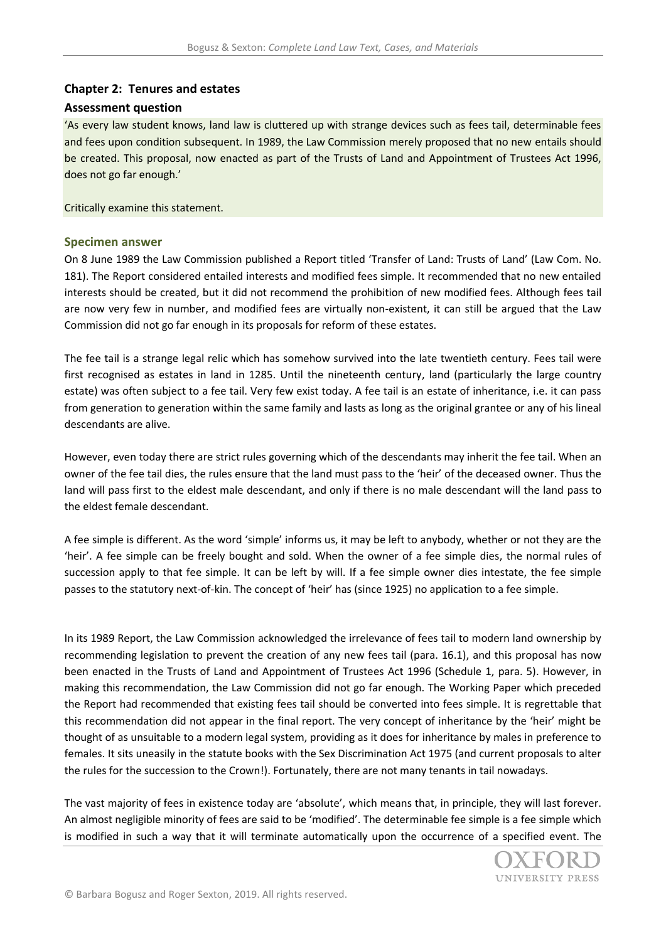## **Chapter 2: Tenures and estates**

## **Assessment question**

'As every law student knows, land law is cluttered up with strange devices such as fees tail, determinable fees and fees upon condition subsequent. In 1989, the Law Commission merely proposed that no new entails should be created. This proposal, now enacted as part of the Trusts of Land and Appointment of Trustees Act 1996, does not go far enough.'

Critically examine this statement.

## **Specimen answer**

On 8 June 1989 the Law Commission published a Report titled 'Transfer of Land: Trusts of Land' (Law Com. No. 181). The Report considered entailed interests and modified fees simple. It recommended that no new entailed interests should be created, but it did not recommend the prohibition of new modified fees. Although fees tail are now very few in number, and modified fees are virtually non-existent, it can still be argued that the Law Commission did not go far enough in its proposals for reform of these estates.

The fee tail is a strange legal relic which has somehow survived into the late twentieth century. Fees tail were first recognised as estates in land in 1285. Until the nineteenth century, land (particularly the large country estate) was often subject to a fee tail. Very few exist today. A fee tail is an estate of inheritance, i.e. it can pass from generation to generation within the same family and lasts as long as the original grantee or any of his lineal descendants are alive.

However, even today there are strict rules governing which of the descendants may inherit the fee tail. When an owner of the fee tail dies, the rules ensure that the land must pass to the 'heir' of the deceased owner. Thus the land will pass first to the eldest male descendant, and only if there is no male descendant will the land pass to the eldest female descendant.

A fee simple is different. As the word 'simple' informs us, it may be left to anybody, whether or not they are the 'heir'. A fee simple can be freely bought and sold. When the owner of a fee simple dies, the normal rules of succession apply to that fee simple. It can be left by will. If a fee simple owner dies intestate, the fee simple passes to the statutory next-of-kin. The concept of 'heir' has (since 1925) no application to a fee simple.

In its 1989 Report, the Law Commission acknowledged the irrelevance of fees tail to modern land ownership by recommending legislation to prevent the creation of any new fees tail (para. 16.1), and this proposal has now been enacted in the Trusts of Land and Appointment of Trustees Act 1996 (Schedule 1, para. 5). However, in making this recommendation, the Law Commission did not go far enough. The Working Paper which preceded the Report had recommended that existing fees tail should be converted into fees simple. It is regrettable that this recommendation did not appear in the final report. The very concept of inheritance by the 'heir' might be thought of as unsuitable to a modern legal system, providing as it does for inheritance by males in preference to females. It sits uneasily in the statute books with the Sex Discrimination Act 1975 (and current proposals to alter the rules for the succession to the Crown!). Fortunately, there are not many tenants in tail nowadays.

The vast majority of fees in existence today are 'absolute', which means that, in principle, they will last forever. An almost negligible minority of fees are said to be 'modified'. The determinable fee simple is a fee simple which is modified in such a way that it will terminate automatically upon the occurrence of a specified event. The